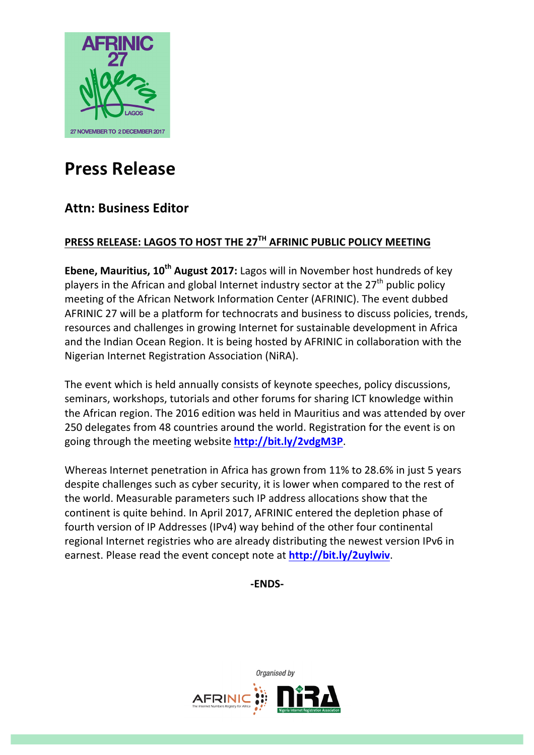

# **Press Release**

# **Attn: Business Editor**

# **PRESS RELEASE: LAGOS TO HOST THE 27TH AFRINIC PUBLIC POLICY MEETING**

**Ebene, Mauritius, 10<sup>th</sup> August 2017:** Lagos will in November host hundreds of key players in the African and global Internet industry sector at the  $27<sup>th</sup>$  public policy meeting of the African Network Information Center (AFRINIC). The event dubbed AFRINIC 27 will be a platform for technocrats and business to discuss policies, trends, resources and challenges in growing Internet for sustainable development in Africa and the Indian Ocean Region. It is being hosted by AFRINIC in collaboration with the Nigerian Internet Registration Association (NiRA).

The event which is held annually consists of keynote speeches, policy discussions, seminars, workshops, tutorials and other forums for sharing ICT knowledge within the African region. The 2016 edition was held in Mauritius and was attended by over 250 delegates from 48 countries around the world. Registration for the event is on going through the meeting website **http://bit.ly/2vdgM3P**.

Whereas Internet penetration in Africa has grown from 11% to 28.6% in just 5 years despite challenges such as cyber security, it is lower when compared to the rest of the world. Measurable parameters such IP address allocations show that the continent is quite behind. In April 2017, AFRINIC entered the depletion phase of fourth version of IP Addresses (IPv4) way behind of the other four continental regional Internet registries who are already distributing the newest version IPv6 in earnest. Please read the event concept note at **http://bit.ly/2uylwiv**.

## **-ENDS-**